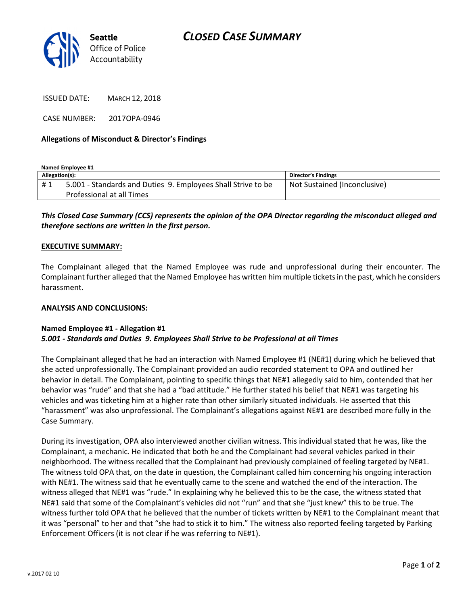

ISSUED DATE: MARCH 12, 2018

CASE NUMBER: 2017OPA-0946

## Allegations of Misconduct & Director's Findings

Named Employee #1 Allegation(s): Director's Findings # 1 | 5.001 - Standards and Duties 9. Employees Shall Strive to be Professional at all Times Not Sustained (Inconclusive)

# This Closed Case Summary (CCS) represents the opinion of the OPA Director regarding the misconduct alleged and therefore sections are written in the first person.

#### EXECUTIVE SUMMARY:

The Complainant alleged that the Named Employee was rude and unprofessional during their encounter. The Complainant further alleged that the Named Employee has written him multiple tickets in the past, which he considers harassment.

#### ANALYSIS AND CONCLUSIONS:

### Named Employee #1 - Allegation #1 5.001 - Standards and Duties 9. Employees Shall Strive to be Professional at all Times

The Complainant alleged that he had an interaction with Named Employee #1 (NE#1) during which he believed that she acted unprofessionally. The Complainant provided an audio recorded statement to OPA and outlined her behavior in detail. The Complainant, pointing to specific things that NE#1 allegedly said to him, contended that her behavior was "rude" and that she had a "bad attitude." He further stated his belief that NE#1 was targeting his vehicles and was ticketing him at a higher rate than other similarly situated individuals. He asserted that this "harassment" was also unprofessional. The Complainant's allegations against NE#1 are described more fully in the Case Summary.

During its investigation, OPA also interviewed another civilian witness. This individual stated that he was, like the Complainant, a mechanic. He indicated that both he and the Complainant had several vehicles parked in their neighborhood. The witness recalled that the Complainant had previously complained of feeling targeted by NE#1. The witness told OPA that, on the date in question, the Complainant called him concerning his ongoing interaction with NE#1. The witness said that he eventually came to the scene and watched the end of the interaction. The witness alleged that NE#1 was "rude." In explaining why he believed this to be the case, the witness stated that NE#1 said that some of the Complainant's vehicles did not "run" and that she "just knew" this to be true. The witness further told OPA that he believed that the number of tickets written by NE#1 to the Complainant meant that it was "personal" to her and that "she had to stick it to him." The witness also reported feeling targeted by Parking Enforcement Officers (it is not clear if he was referring to NE#1).